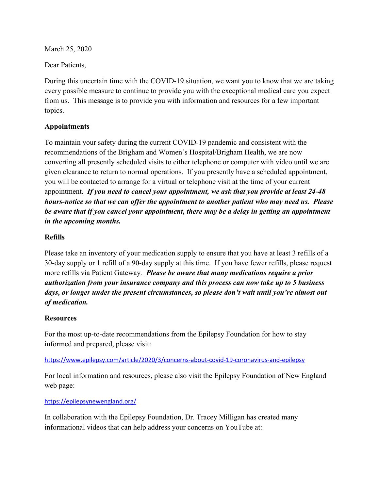March 25, 2020

Dear Patients,

During this uncertain time with the COVID-19 situation, we want you to know that we are taking every possible measure to continue to provide you with the exceptional medical care you expect from us. This message is to provide you with information and resources for a few important topics.

#### **Appointments**

To maintain your safety during the current COVID-19 pandemic and consistent with the recommendations of the Brigham and Women's Hospital/Brigham Health, we are now converting all presently scheduled visits to either telephone or computer with video until we are given clearance to return to normal operations. If you presently have a scheduled appointment, you will be contacted to arrange for a virtual or telephone visit at the time of your current appointment. *If you need to cancel your appointment, we ask that you provide at least 24-48 hours-notice so that we can offer the appointment to another patient who may need us. Please be aware that if you cancel your appointment, there may be a delay in getting an appointment in the upcoming months.*

### **Refills**

Please take an inventory of your medication supply to ensure that you have at least 3 refills of a 30-day supply or 1 refill of a 90-day supply at this time. If you have fewer refills, please request more refills via Patient Gateway*. Please be aware that many medications require a prior authorization from your insurance company and this process can now take up to 5 business days, or longer under the present circumstances, so please don't wait until you're almost out of medication.* 

#### **Resources**

For the most up-to-date recommendations from the Epilepsy Foundation for how to stay informed and prepared, please visit:

#### <https://www.epilepsy.com/article/2020/3/concerns-about-covid-19-coronavirus-and-epilepsy>

For local information and resources, please also visit the Epilepsy Foundation of New England web page:

#### <https://epilepsynewengland.org/>

In collaboration with the Epilepsy Foundation, Dr. Tracey Milligan has created many informational videos that can help address your concerns on YouTube at: